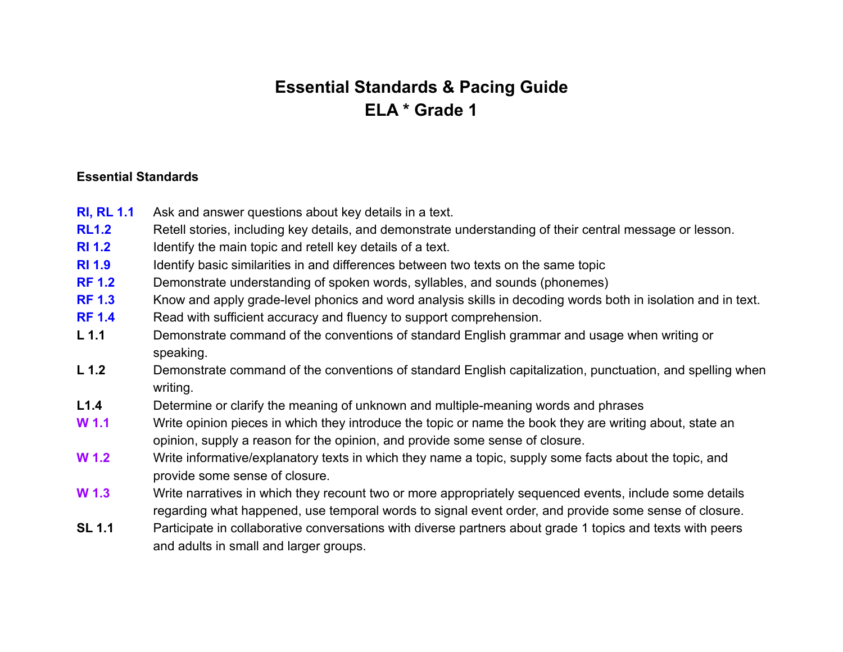## **Essential Standards & Pacing Guide ELA \* Grade 1**

## **Essential Standards**

- **RI, RL 1.1** Ask and answer questions about key details in a text.
- **RL1.2** Retell stories, including key details, and demonstrate understanding of their central message or lesson.
- **RI 1.2** Identify the main topic and retell key details of a text.
- **RI 1.9** Identify basic similarities in and differences between two texts on the same topic
- **RF 1.2** Demonstrate understanding of spoken words, syllables, and sounds (phonemes)
- **RF 1.3** Know and apply grade-level phonics and word analysis skills in decoding words both in isolation and in text.
- **RF 1.4** Read with sufficient accuracy and fluency to support comprehension.
- **L 1.1** Demonstrate command of the conventions of standard English grammar and usage when writing or speaking.
- **L 1.2** Demonstrate command of the conventions of standard English capitalization, punctuation, and spelling when writing.
- **L1.4** Determine or clarify the meaning of unknown and multiple-meaning words and phrases
- **W 1.1** Write opinion pieces in which they introduce the topic or name the book they are writing about, state an opinion, supply a reason for the opinion, and provide some sense of closure.
- **W 1.2** Write informative/explanatory texts in which they name a topic, supply some facts about the topic, and provide some sense of closure.
- **W 1.3** Write narratives in which they recount two or more appropriately sequenced events, include some details regarding what happened, use temporal words to signal event order, and provide some sense of closure.
- **SL 1.1** Participate in collaborative conversations with diverse partners about grade 1 topics and texts with peers and adults in small and larger groups.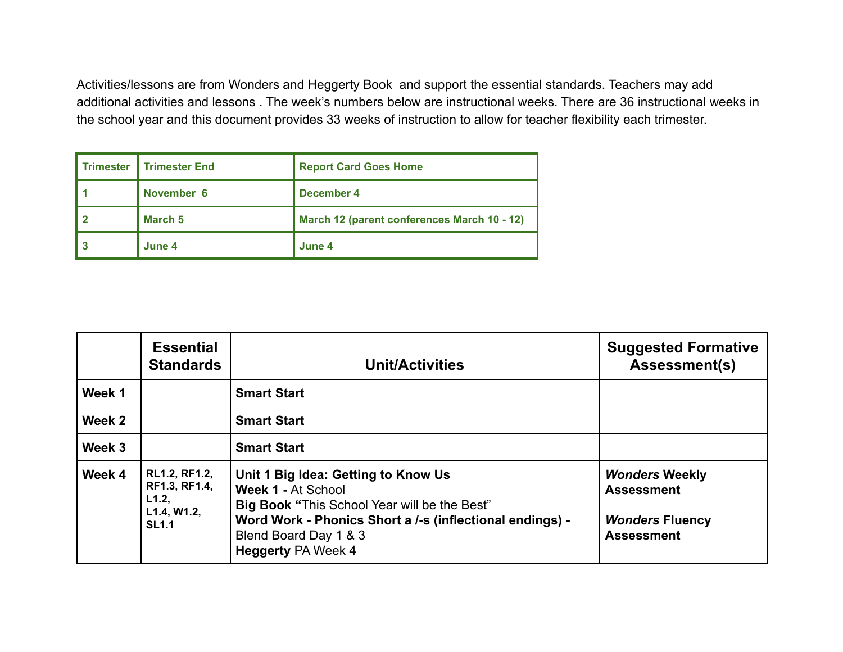Activities/lessons are from Wonders and Heggerty Book and support the essential standards. Teachers may add additional activities and lessons . The week's numbers below are instructional weeks. There are 36 instructional weeks in the school year and this document provides 33 weeks of instruction to allow for teacher flexibility each trimester.

| <b>Trimester</b> | <b>I</b> Trimester End | <b>Report Card Goes Home</b>                |
|------------------|------------------------|---------------------------------------------|
|                  | November 6             | December 4                                  |
|                  | March 5                | March 12 (parent conferences March 10 - 12) |
|                  | June 4                 | June 4                                      |

|        | <b>Essential</b><br><b>Standards</b>                                          | <b>Unit/Activities</b>                                                                                                                                                                                                             | <b>Suggested Formative</b><br><b>Assessment(s)</b>                                        |
|--------|-------------------------------------------------------------------------------|------------------------------------------------------------------------------------------------------------------------------------------------------------------------------------------------------------------------------------|-------------------------------------------------------------------------------------------|
| Week 1 |                                                                               | <b>Smart Start</b>                                                                                                                                                                                                                 |                                                                                           |
| Week 2 |                                                                               | <b>Smart Start</b>                                                                                                                                                                                                                 |                                                                                           |
| Week 3 |                                                                               | <b>Smart Start</b>                                                                                                                                                                                                                 |                                                                                           |
| Week 4 | <b>RL1.2, RF1.2,</b><br>RF1.3, RF1.4,<br>L1.2,<br>L1.4, W1.2,<br><b>SL1.1</b> | Unit 1 Big Idea: Getting to Know Us<br>Week 1 - At School<br><b>Big Book "This School Year will be the Best"</b><br>Word Work - Phonics Short a /-s (inflectional endings) -<br>Blend Board Day 1 & 3<br><b>Heggerty PA Week 4</b> | <b>Wonders Weekly</b><br><b>Assessment</b><br><b>Wonders Fluency</b><br><b>Assessment</b> |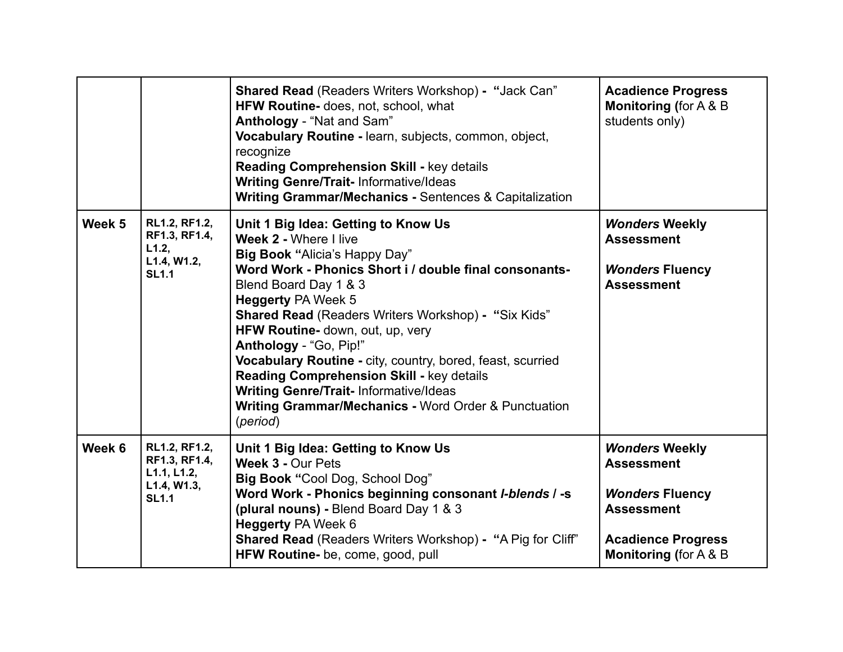|        |                                                                              | <b>Shared Read (Readers Writers Workshop) - "Jack Can"</b><br>HFW Routine- does, not, school, what<br>Anthology - "Nat and Sam"<br>Vocabulary Routine - learn, subjects, common, object,<br>recognize<br><b>Reading Comprehension Skill - key details</b><br><b>Writing Genre/Trait-Informative/Ideas</b><br><b>Writing Grammar/Mechanics - Sentences &amp; Capitalization</b>                                                                                                                                                                                                      | <b>Acadience Progress</b><br><b>Monitoring (for A &amp; B)</b><br>students only)                                                                            |
|--------|------------------------------------------------------------------------------|-------------------------------------------------------------------------------------------------------------------------------------------------------------------------------------------------------------------------------------------------------------------------------------------------------------------------------------------------------------------------------------------------------------------------------------------------------------------------------------------------------------------------------------------------------------------------------------|-------------------------------------------------------------------------------------------------------------------------------------------------------------|
| Week 5 | RL1.2, RF1.2,<br>RF1.3, RF1.4,<br>L1.2,<br>L1.4, W1.2,<br><b>SL1.1</b>       | Unit 1 Big Idea: Getting to Know Us<br>Week 2 - Where I live<br><b>Big Book "Alicia's Happy Day"</b><br>Word Work - Phonics Short i / double final consonants-<br>Blend Board Day 1 & 3<br><b>Heggerty PA Week 5</b><br>Shared Read (Readers Writers Workshop) - "Six Kids"<br>HFW Routine- down, out, up, very<br>Anthology - "Go, Pip!"<br>Vocabulary Routine - city, country, bored, feast, scurried<br>Reading Comprehension Skill - key details<br><b>Writing Genre/Trait-Informative/Ideas</b><br><b>Writing Grammar/Mechanics - Word Order &amp; Punctuation</b><br>(period) | <b>Wonders Weekly</b><br><b>Assessment</b><br><b>Wonders Fluency</b><br><b>Assessment</b>                                                                   |
| Week 6 | RL1.2, RF1.2,<br>RF1.3, RF1.4,<br>L1.1, L1.2,<br>L1.4, W1.3,<br><b>SL1.1</b> | Unit 1 Big Idea: Getting to Know Us<br>Week 3 - Our Pets<br>Big Book "Cool Dog, School Dog"<br>Word Work - Phonics beginning consonant I-blends / -s<br>(plural nouns) - Blend Board Day 1 & 3<br><b>Heggerty PA Week 6</b><br><b>Shared Read (Readers Writers Workshop) - "A Pig for Cliff"</b><br>HFW Routine- be, come, good, pull                                                                                                                                                                                                                                               | <b>Wonders Weekly</b><br><b>Assessment</b><br><b>Wonders Fluency</b><br><b>Assessment</b><br><b>Acadience Progress</b><br><b>Monitoring (for A &amp; B)</b> |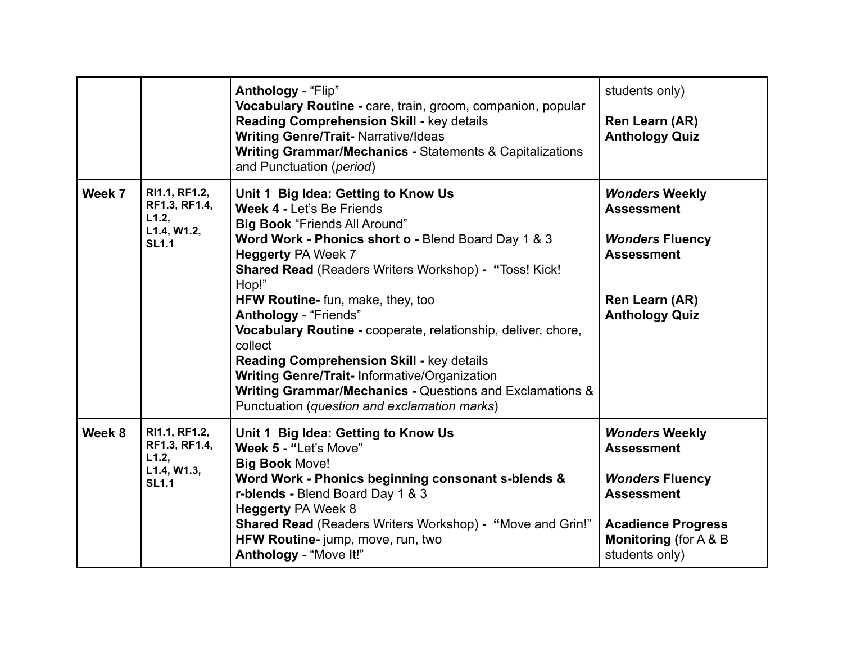|        |                                                                        | Anthology - "Flip"<br>Vocabulary Routine - care, train, groom, companion, popular<br>Reading Comprehension Skill - key details<br><b>Writing Genre/Trait-Narrative/Ideas</b><br><b>Writing Grammar/Mechanics - Statements &amp; Capitalizations</b><br>and Punctuation (period)                                                                                                                                                                                                                                                                                                                                                        | students only)<br>Ren Learn (AR)<br><b>Anthology Quiz</b>                                                                                                                     |
|--------|------------------------------------------------------------------------|----------------------------------------------------------------------------------------------------------------------------------------------------------------------------------------------------------------------------------------------------------------------------------------------------------------------------------------------------------------------------------------------------------------------------------------------------------------------------------------------------------------------------------------------------------------------------------------------------------------------------------------|-------------------------------------------------------------------------------------------------------------------------------------------------------------------------------|
| Week 7 | RI1.1, RF1.2,<br>RF1.3, RF1.4,<br>L1.2,<br>L1.4, W1.2,<br><b>SL1.1</b> | Unit 1 Big Idea: Getting to Know Us<br>Week 4 - Let's Be Friends<br><b>Big Book "Friends All Around"</b><br>Word Work - Phonics short o - Blend Board Day 1 & 3<br><b>Heggerty PA Week 7</b><br><b>Shared Read (Readers Writers Workshop) - "Toss! Kick!</b><br>Hop!"<br>HFW Routine- fun, make, they, too<br>Anthology - "Friends"<br>Vocabulary Routine - cooperate, relationship, deliver, chore,<br>collect<br><b>Reading Comprehension Skill - key details</b><br><b>Writing Genre/Trait-Informative/Organization</b><br>Writing Grammar/Mechanics - Questions and Exclamations &<br>Punctuation (question and exclamation marks) | <b>Wonders Weekly</b><br><b>Assessment</b><br><b>Wonders Fluency</b><br><b>Assessment</b><br>Ren Learn (AR)<br><b>Anthology Quiz</b>                                          |
| Week 8 | RI1.1, RF1.2,<br>RF1.3, RF1.4,<br>L1.2,<br>L1.4, W1.3,<br><b>SL1.1</b> | Unit 1 Big Idea: Getting to Know Us<br>Week 5 - "Let's Move"<br><b>Big Book Move!</b><br>Word Work - Phonics beginning consonant s-blends &<br>r-blends - Blend Board Day 1 & 3<br><b>Heggerty PA Week 8</b><br><b>Shared Read (Readers Writers Workshop) - "Move and Grin!"</b><br>HFW Routine-jump, move, run, two<br>Anthology - "Move It!"                                                                                                                                                                                                                                                                                         | <b>Wonders Weekly</b><br><b>Assessment</b><br><b>Wonders Fluency</b><br><b>Assessment</b><br><b>Acadience Progress</b><br><b>Monitoring (for A &amp; B)</b><br>students only) |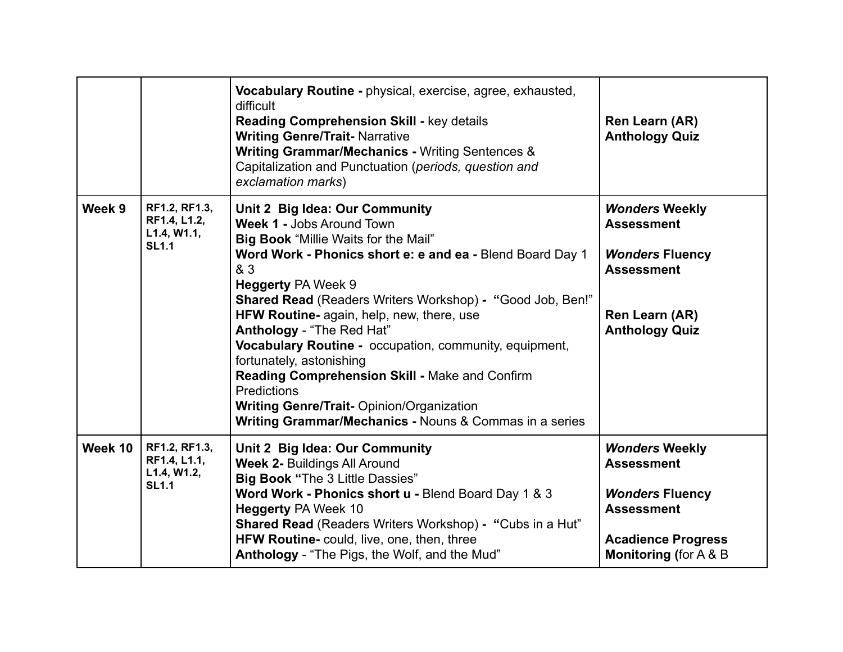|         |                                                              | Vocabulary Routine - physical, exercise, agree, exhausted,<br>difficult<br><b>Reading Comprehension Skill - key details</b><br><b>Writing Genre/Trait- Narrative</b><br>Writing Grammar/Mechanics - Writing Sentences &<br>Capitalization and Punctuation (periods, question and<br>exclamation marks)                                                                                                                                                                                                                                                                                                                                       | Ren Learn (AR)<br><b>Anthology Quiz</b>                                                                                                                     |
|---------|--------------------------------------------------------------|----------------------------------------------------------------------------------------------------------------------------------------------------------------------------------------------------------------------------------------------------------------------------------------------------------------------------------------------------------------------------------------------------------------------------------------------------------------------------------------------------------------------------------------------------------------------------------------------------------------------------------------------|-------------------------------------------------------------------------------------------------------------------------------------------------------------|
| Week 9  | RF1.2, RF1.3,<br>RF1.4, L1.2,<br>L1.4, W1.1,<br><b>SL1.1</b> | Unit 2 Big Idea: Our Community<br><b>Week 1 - Jobs Around Town</b><br><b>Big Book</b> "Millie Waits for the Mail"<br>Word Work - Phonics short e: e and ea - Blend Board Day 1<br>& 3<br><b>Heggerty PA Week 9</b><br><b>Shared Read (Readers Writers Workshop) - "Good Job, Ben!"</b><br>HFW Routine- again, help, new, there, use<br>Anthology - "The Red Hat"<br>Vocabulary Routine - occupation, community, equipment,<br>fortunately, astonishing<br>Reading Comprehension Skill - Make and Confirm<br><b>Predictions</b><br><b>Writing Genre/Trait- Opinion/Organization</b><br>Writing Grammar/Mechanics - Nouns & Commas in a series | <b>Wonders Weekly</b><br><b>Assessment</b><br><b>Wonders Fluency</b><br><b>Assessment</b><br>Ren Learn (AR)<br><b>Anthology Quiz</b>                        |
| Week 10 | RF1.2, RF1.3,<br>RF1.4, L1.1,<br>L1.4, W1.2,<br><b>SL1.1</b> | Unit 2 Big Idea: Our Community<br><b>Week 2- Buildings All Around</b><br><b>Big Book "The 3 Little Dassies"</b><br>Word Work - Phonics short u - Blend Board Day 1 & 3<br><b>Heggerty PA Week 10</b><br><b>Shared Read</b> (Readers Writers Workshop) - "Cubs in a Hut"<br>HFW Routine- could, live, one, then, three<br>Anthology - "The Pigs, the Wolf, and the Mud"                                                                                                                                                                                                                                                                       | <b>Wonders Weekly</b><br><b>Assessment</b><br><b>Wonders Fluency</b><br><b>Assessment</b><br><b>Acadience Progress</b><br><b>Monitoring (for A &amp; B)</b> |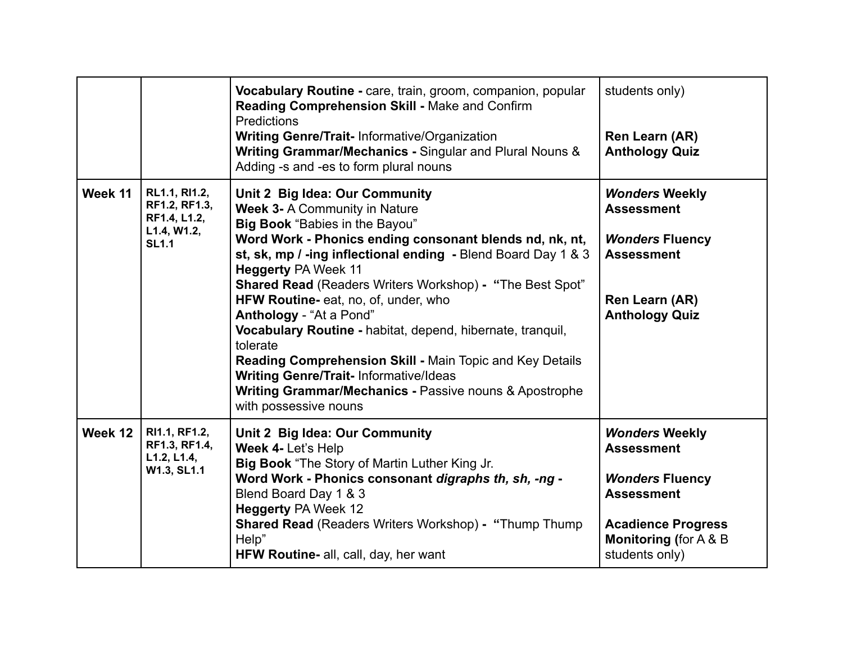|         |                                                                               | Vocabulary Routine - care, train, groom, companion, popular<br>Reading Comprehension Skill - Make and Confirm<br>Predictions<br>Writing Genre/Trait- Informative/Organization<br>Writing Grammar/Mechanics - Singular and Plural Nouns &<br>Adding -s and -es to form plural nouns                                                                                                                                                                                                                                                                                                                                                                                         | students only)<br>Ren Learn (AR)<br><b>Anthology Quiz</b>                                                                                                                     |
|---------|-------------------------------------------------------------------------------|----------------------------------------------------------------------------------------------------------------------------------------------------------------------------------------------------------------------------------------------------------------------------------------------------------------------------------------------------------------------------------------------------------------------------------------------------------------------------------------------------------------------------------------------------------------------------------------------------------------------------------------------------------------------------|-------------------------------------------------------------------------------------------------------------------------------------------------------------------------------|
| Week 11 | RL1.1, RI1.2,<br>RF1.2, RF1.3,<br>RF1.4, L1.2,<br>L1.4, W1.2,<br><b>SL1.1</b> | Unit 2 Big Idea: Our Community<br><b>Week 3- A Community in Nature</b><br>Big Book "Babies in the Bayou"<br>Word Work - Phonics ending consonant blends nd, nk, nt,<br>st, sk, mp / -ing inflectional ending - Blend Board Day 1 & 3<br><b>Heggerty PA Week 11</b><br>Shared Read (Readers Writers Workshop) - "The Best Spot"<br>HFW Routine- eat, no, of, under, who<br>Anthology - "At a Pond"<br>Vocabulary Routine - habitat, depend, hibernate, tranquil,<br>tolerate<br>Reading Comprehension Skill - Main Topic and Key Details<br><b>Writing Genre/Trait-Informative/Ideas</b><br>Writing Grammar/Mechanics - Passive nouns & Apostrophe<br>with possessive nouns | <b>Wonders Weekly</b><br><b>Assessment</b><br><b>Wonders Fluency</b><br><b>Assessment</b><br>Ren Learn (AR)<br><b>Anthology Quiz</b>                                          |
| Week 12 | RI1.1, RF1.2,<br>RF1.3, RF1.4,<br>L1.2, L1.4,<br>W1.3, SL1.1                  | Unit 2 Big Idea: Our Community<br>Week 4- Let's Help<br>Big Book "The Story of Martin Luther King Jr.<br>Word Work - Phonics consonant digraphs th, sh, -ng -<br>Blend Board Day 1 & 3<br><b>Heggerty PA Week 12</b><br><b>Shared Read (Readers Writers Workshop) - "Thump Thump</b><br>Help"<br>HFW Routine- all, call, day, her want                                                                                                                                                                                                                                                                                                                                     | <b>Wonders Weekly</b><br><b>Assessment</b><br><b>Wonders Fluency</b><br><b>Assessment</b><br><b>Acadience Progress</b><br><b>Monitoring (for A &amp; B)</b><br>students only) |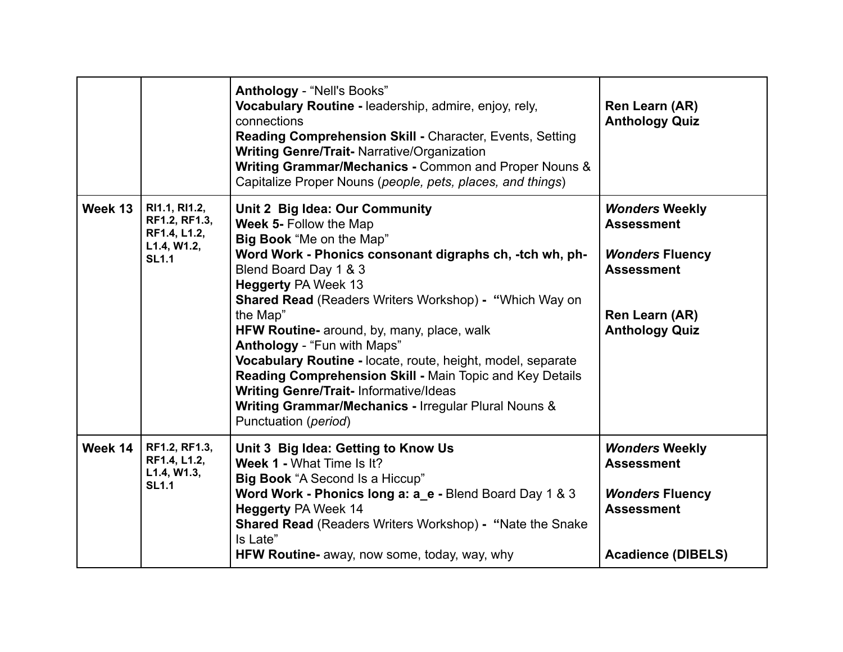|         |                                                                               | <b>Anthology - "Nell's Books"</b><br>Vocabulary Routine - leadership, admire, enjoy, rely,<br>connections<br><b>Reading Comprehension Skill - Character, Events, Setting</b><br><b>Writing Genre/Trait-Narrative/Organization</b><br>Writing Grammar/Mechanics - Common and Proper Nouns &<br>Capitalize Proper Nouns (people, pets, places, and things)                                                                                                                                                                                                                                                                    | Ren Learn (AR)<br><b>Anthology Quiz</b>                                                                                              |
|---------|-------------------------------------------------------------------------------|-----------------------------------------------------------------------------------------------------------------------------------------------------------------------------------------------------------------------------------------------------------------------------------------------------------------------------------------------------------------------------------------------------------------------------------------------------------------------------------------------------------------------------------------------------------------------------------------------------------------------------|--------------------------------------------------------------------------------------------------------------------------------------|
| Week 13 | RI1.1, RI1.2,<br>RF1.2, RF1.3,<br>RF1.4, L1.2,<br>L1.4, W1.2,<br><b>SL1.1</b> | Unit 2 Big Idea: Our Community<br>Week 5- Follow the Map<br>Big Book "Me on the Map"<br>Word Work - Phonics consonant digraphs ch, -tch wh, ph-<br>Blend Board Day 1 & 3<br><b>Heggerty PA Week 13</b><br><b>Shared Read (Readers Writers Workshop) - "Which Way on</b><br>the Map"<br>HFW Routine- around, by, many, place, walk<br>Anthology - "Fun with Maps"<br>Vocabulary Routine - locate, route, height, model, separate<br>Reading Comprehension Skill - Main Topic and Key Details<br><b>Writing Genre/Trait-Informative/Ideas</b><br>Writing Grammar/Mechanics - Irregular Plural Nouns &<br>Punctuation (period) | <b>Wonders Weekly</b><br><b>Assessment</b><br><b>Wonders Fluency</b><br><b>Assessment</b><br>Ren Learn (AR)<br><b>Anthology Quiz</b> |
| Week 14 | RF1.2, RF1.3,<br>RF1.4, L1.2,<br>L1.4, W1.3,<br><b>SL1.1</b>                  | Unit 3 Big Idea: Getting to Know Us<br>Week 1 - What Time Is It?<br>Big Book "A Second Is a Hiccup"<br>Word Work - Phonics long a: a e - Blend Board Day 1 & 3<br><b>Heggerty PA Week 14</b><br><b>Shared Read</b> (Readers Writers Workshop) - "Nate the Snake<br>Is Late"<br><b>HFW Routine-</b> away, now some, today, way, why                                                                                                                                                                                                                                                                                          | <b>Wonders Weekly</b><br><b>Assessment</b><br><b>Wonders Fluency</b><br><b>Assessment</b><br><b>Acadience (DIBELS)</b>               |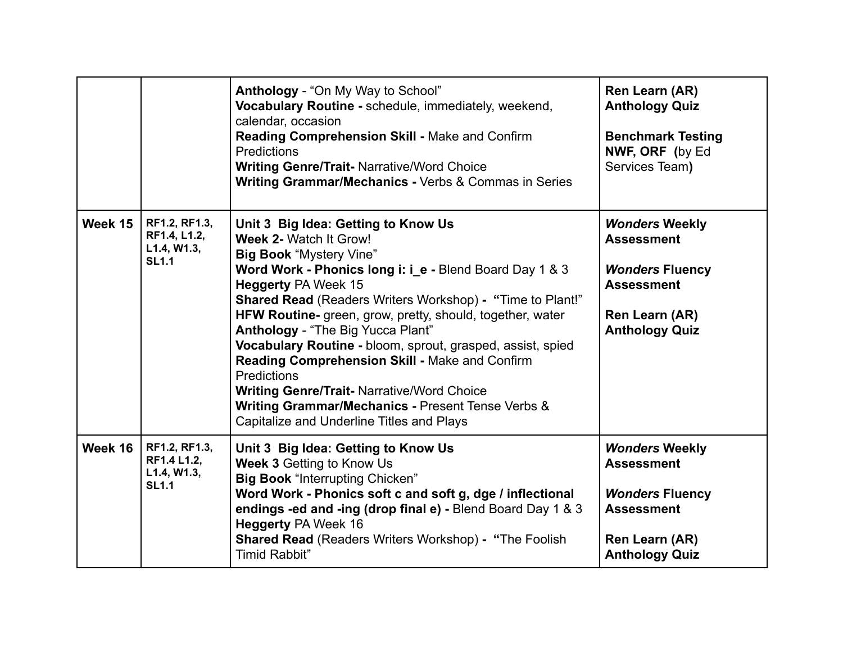|         |                                                              | Anthology - "On My Way to School"<br>Vocabulary Routine - schedule, immediately, weekend,<br>calendar, occasion<br>Reading Comprehension Skill - Make and Confirm<br><b>Predictions</b><br><b>Writing Genre/Trait- Narrative/Word Choice</b><br><b>Writing Grammar/Mechanics - Verbs &amp; Commas in Series</b>                                                                                                                                                                                                                                                                                                                                      | Ren Learn (AR)<br><b>Anthology Quiz</b><br><b>Benchmark Testing</b><br>NWF, ORF (by Ed<br>Services Team)                             |
|---------|--------------------------------------------------------------|------------------------------------------------------------------------------------------------------------------------------------------------------------------------------------------------------------------------------------------------------------------------------------------------------------------------------------------------------------------------------------------------------------------------------------------------------------------------------------------------------------------------------------------------------------------------------------------------------------------------------------------------------|--------------------------------------------------------------------------------------------------------------------------------------|
| Week 15 | RF1.2, RF1.3,<br>RF1.4, L1.2,<br>L1.4, W1.3,<br><b>SL1.1</b> | Unit 3 Big Idea: Getting to Know Us<br>Week 2- Watch It Grow!<br><b>Big Book "Mystery Vine"</b><br>Word Work - Phonics long i: i_e - Blend Board Day 1 & 3<br><b>Heggerty PA Week 15</b><br><b>Shared Read (Readers Writers Workshop) - "Time to Plant!"</b><br>HFW Routine- green, grow, pretty, should, together, water<br>Anthology - "The Big Yucca Plant"<br>Vocabulary Routine - bloom, sprout, grasped, assist, spied<br>Reading Comprehension Skill - Make and Confirm<br>Predictions<br><b>Writing Genre/Trait- Narrative/Word Choice</b><br>Writing Grammar/Mechanics - Present Tense Verbs &<br>Capitalize and Underline Titles and Plays | <b>Wonders Weekly</b><br><b>Assessment</b><br><b>Wonders Fluency</b><br><b>Assessment</b><br>Ren Learn (AR)<br><b>Anthology Quiz</b> |
| Week 16 | RF1.2, RF1.3,<br>RF1.4 L1.2,<br>L1.4, W1.3,<br><b>SL1.1</b>  | Unit 3 Big Idea: Getting to Know Us<br><b>Week 3 Getting to Know Us</b><br><b>Big Book "Interrupting Chicken"</b><br>Word Work - Phonics soft c and soft g, dge / inflectional<br>endings -ed and -ing (drop final e) - Blend Board Day 1 & 3<br><b>Heggerty PA Week 16</b><br><b>Shared Read (Readers Writers Workshop) - "The Foolish</b><br><b>Timid Rabbit"</b>                                                                                                                                                                                                                                                                                  | <b>Wonders Weekly</b><br><b>Assessment</b><br><b>Wonders Fluency</b><br><b>Assessment</b><br>Ren Learn (AR)<br><b>Anthology Quiz</b> |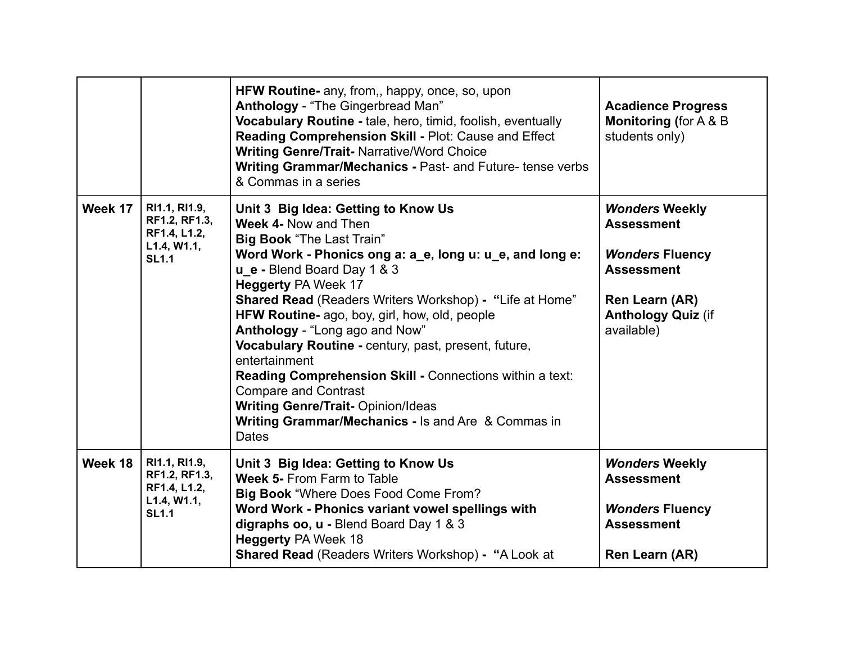|         |                                                                               | HFW Routine- any, from,, happy, once, so, upon<br>Anthology - "The Gingerbread Man"<br>Vocabulary Routine - tale, hero, timid, foolish, eventually<br>Reading Comprehension Skill - Plot: Cause and Effect<br><b>Writing Genre/Trait-Narrative/Word Choice</b><br>Writing Grammar/Mechanics - Past- and Future- tense verbs<br>& Commas in a series                                                                                                                                                                                                                                                                                                           | <b>Acadience Progress</b><br><b>Monitoring (for A &amp; B)</b><br>students only)                                                                       |
|---------|-------------------------------------------------------------------------------|---------------------------------------------------------------------------------------------------------------------------------------------------------------------------------------------------------------------------------------------------------------------------------------------------------------------------------------------------------------------------------------------------------------------------------------------------------------------------------------------------------------------------------------------------------------------------------------------------------------------------------------------------------------|--------------------------------------------------------------------------------------------------------------------------------------------------------|
| Week 17 | RI1.1, RI1.9,<br>RF1.2, RF1.3,<br>RF1.4, L1.2,<br>L1.4, W1.1,<br><b>SL1.1</b> | Unit 3 Big Idea: Getting to Know Us<br>Week 4- Now and Then<br><b>Big Book</b> "The Last Train"<br>Word Work - Phonics ong a: a_e, long u: u_e, and long e:<br>u e - Blend Board Day 1 & 3<br><b>Heggerty PA Week 17</b><br>Shared Read (Readers Writers Workshop) - "Life at Home"<br>HFW Routine- ago, boy, girl, how, old, people<br>Anthology - "Long ago and Now"<br>Vocabulary Routine - century, past, present, future,<br>entertainment<br>Reading Comprehension Skill - Connections within a text:<br><b>Compare and Contrast</b><br><b>Writing Genre/Trait- Opinion/Ideas</b><br>Writing Grammar/Mechanics - Is and Are & Commas in<br><b>Dates</b> | <b>Wonders Weekly</b><br><b>Assessment</b><br><b>Wonders Fluency</b><br><b>Assessment</b><br>Ren Learn (AR)<br><b>Anthology Quiz (if</b><br>available) |
| Week 18 | RI1.1, RI1.9,<br>RF1.2, RF1.3,<br>RF1.4, L1.2,<br>L1.4, W1.1,<br><b>SL1.1</b> | Unit 3 Big Idea: Getting to Know Us<br><b>Week 5- From Farm to Table</b><br>Big Book "Where Does Food Come From?<br>Word Work - Phonics variant vowel spellings with<br>digraphs oo, u - Blend Board Day 1 & 3<br><b>Heggerty PA Week 18</b><br>Shared Read (Readers Writers Workshop) - "A Look at                                                                                                                                                                                                                                                                                                                                                           | <b>Wonders Weekly</b><br><b>Assessment</b><br><b>Wonders Fluency</b><br><b>Assessment</b><br>Ren Learn (AR)                                            |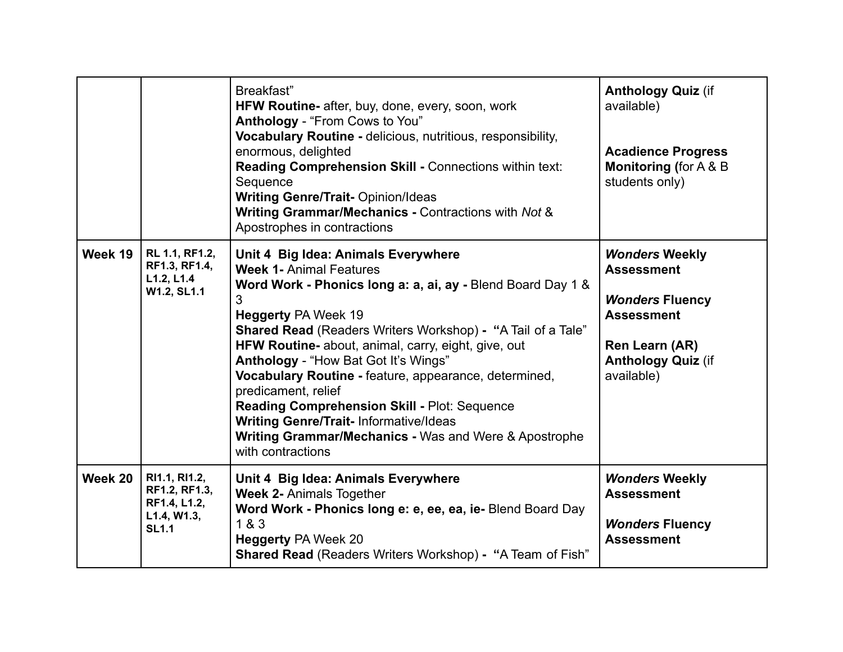|         |                                                                               | Breakfast"<br>HFW Routine- after, buy, done, every, soon, work<br>Anthology - "From Cows to You"<br>Vocabulary Routine - delicious, nutritious, responsibility,<br>enormous, delighted<br>Reading Comprehension Skill - Connections within text:<br>Sequence<br><b>Writing Genre/Trait- Opinion/Ideas</b><br>Writing Grammar/Mechanics - Contractions with Not &<br>Apostrophes in contractions                                                                                                                                                                                                                       | <b>Anthology Quiz (if</b><br>available)<br><b>Acadience Progress</b><br><b>Monitoring (for A &amp; B)</b><br>students only)                            |
|---------|-------------------------------------------------------------------------------|-----------------------------------------------------------------------------------------------------------------------------------------------------------------------------------------------------------------------------------------------------------------------------------------------------------------------------------------------------------------------------------------------------------------------------------------------------------------------------------------------------------------------------------------------------------------------------------------------------------------------|--------------------------------------------------------------------------------------------------------------------------------------------------------|
| Week 19 | RL 1.1, RF1.2,<br>RF1.3, RF1.4,<br>L1.2, L1.4<br>W1.2, SL1.1                  | Unit 4 Big Idea: Animals Everywhere<br><b>Week 1- Animal Features</b><br>Word Work - Phonics long a: a, ai, ay - Blend Board Day 1 &<br>3<br><b>Heggerty PA Week 19</b><br><b>Shared Read (Readers Writers Workshop) - "A Tail of a Tale"</b><br>HFW Routine- about, animal, carry, eight, give, out<br>Anthology - "How Bat Got It's Wings"<br>Vocabulary Routine - feature, appearance, determined,<br>predicament, relief<br>Reading Comprehension Skill - Plot: Sequence<br><b>Writing Genre/Trait-Informative/Ideas</b><br><b>Writing Grammar/Mechanics - Was and Were &amp; Apostrophe</b><br>with contractions | <b>Wonders Weekly</b><br><b>Assessment</b><br><b>Wonders Fluency</b><br><b>Assessment</b><br>Ren Learn (AR)<br><b>Anthology Quiz (if</b><br>available) |
| Week 20 | RI1.1, RI1.2,<br>RF1.2, RF1.3,<br>RF1.4, L1.2,<br>L1.4, W1.3,<br><b>SL1.1</b> | Unit 4 Big Idea: Animals Everywhere<br><b>Week 2- Animals Together</b><br>Word Work - Phonics long e: e, ee, ea, ie- Blend Board Day<br>1 & 3<br><b>Heggerty PA Week 20</b><br>Shared Read (Readers Writers Workshop) - "A Team of Fish"                                                                                                                                                                                                                                                                                                                                                                              | <b>Wonders Weekly</b><br><b>Assessment</b><br><b>Wonders Fluency</b><br><b>Assessment</b>                                                              |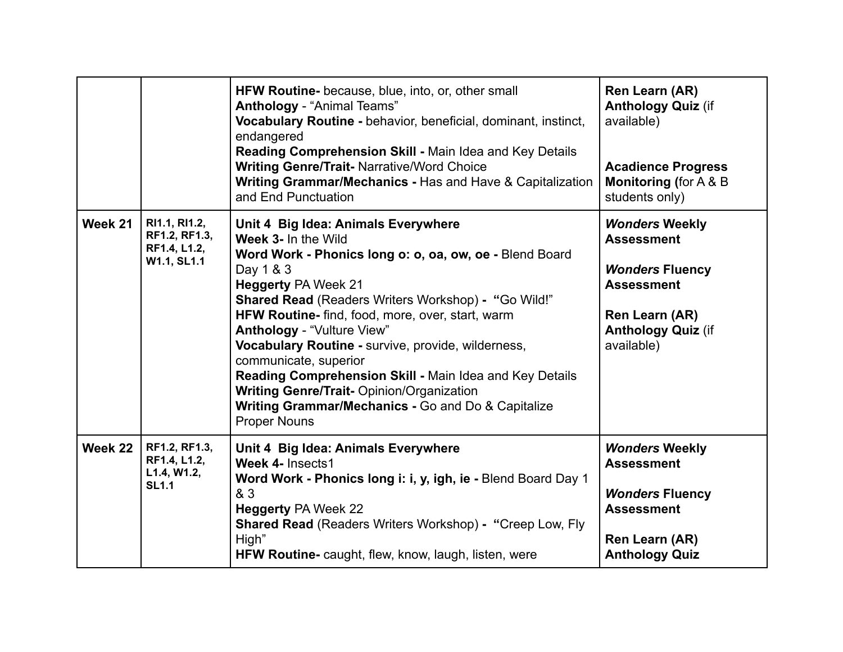|         |                                                               | HFW Routine- because, blue, into, or, other small<br><b>Anthology - "Animal Teams"</b><br>Vocabulary Routine - behavior, beneficial, dominant, instinct,<br>endangered<br>Reading Comprehension Skill - Main Idea and Key Details<br><b>Writing Genre/Trait- Narrative/Word Choice</b><br>Writing Grammar/Mechanics - Has and Have & Capitalization<br>and End Punctuation                                                                                                                                                                                                                         | Ren Learn (AR)<br><b>Anthology Quiz (if</b><br>available)<br><b>Acadience Progress</b><br><b>Monitoring (for A &amp; B)</b><br>students only)          |
|---------|---------------------------------------------------------------|----------------------------------------------------------------------------------------------------------------------------------------------------------------------------------------------------------------------------------------------------------------------------------------------------------------------------------------------------------------------------------------------------------------------------------------------------------------------------------------------------------------------------------------------------------------------------------------------------|--------------------------------------------------------------------------------------------------------------------------------------------------------|
| Week 21 | RI1.1, RI1.2,<br>RF1.2, RF1.3,<br>RF1.4, L1.2,<br>W1.1, SL1.1 | Unit 4 Big Idea: Animals Everywhere<br>Week 3- In the Wild<br>Word Work - Phonics long o: o, oa, ow, oe - Blend Board<br>Day 1 & 3<br><b>Heggerty PA Week 21</b><br><b>Shared Read (Readers Writers Workshop) - "Go Wild!"</b><br>HFW Routine- find, food, more, over, start, warm<br><b>Anthology - "Vulture View"</b><br>Vocabulary Routine - survive, provide, wilderness,<br>communicate, superior<br>Reading Comprehension Skill - Main Idea and Key Details<br><b>Writing Genre/Trait- Opinion/Organization</b><br>Writing Grammar/Mechanics - Go and Do & Capitalize<br><b>Proper Nouns</b> | <b>Wonders Weekly</b><br><b>Assessment</b><br><b>Wonders Fluency</b><br><b>Assessment</b><br>Ren Learn (AR)<br><b>Anthology Quiz (if</b><br>available) |
| Week 22 | RF1.2, RF1.3,<br>RF1.4, L1.2,<br>L1.4, W1.2,<br><b>SL1.1</b>  | Unit 4 Big Idea: Animals Everywhere<br>Week 4- Insects1<br>Word Work - Phonics long i: i, y, igh, ie - Blend Board Day 1<br>& 3<br><b>Heggerty PA Week 22</b><br><b>Shared Read (Readers Writers Workshop) - "Creep Low, Fly</b><br>High"<br>HFW Routine- caught, flew, know, laugh, listen, were                                                                                                                                                                                                                                                                                                  | <b>Wonders Weekly</b><br><b>Assessment</b><br><b>Wonders Fluency</b><br><b>Assessment</b><br>Ren Learn (AR)<br><b>Anthology Quiz</b>                   |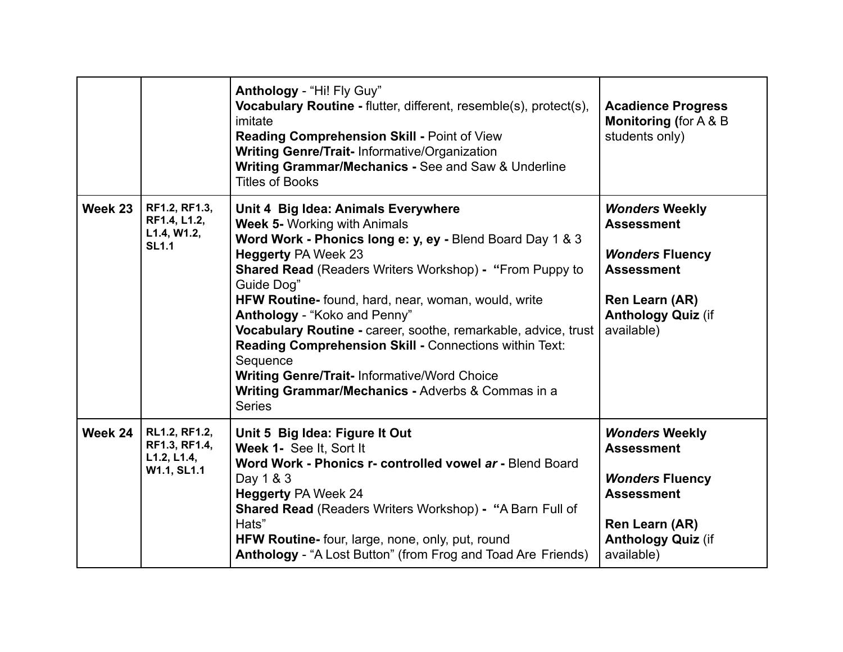|         |                                                              | Anthology - "Hi! Fly Guy"<br>Vocabulary Routine - flutter, different, resemble(s), protect(s),<br>imitate<br>Reading Comprehension Skill - Point of View<br><b>Writing Genre/Trait-Informative/Organization</b><br>Writing Grammar/Mechanics - See and Saw & Underline<br><b>Titles of Books</b>                                                                                                                                                                                                                                                                                                                 | <b>Acadience Progress</b><br><b>Monitoring (for A &amp; B)</b><br>students only)                                                                       |
|---------|--------------------------------------------------------------|------------------------------------------------------------------------------------------------------------------------------------------------------------------------------------------------------------------------------------------------------------------------------------------------------------------------------------------------------------------------------------------------------------------------------------------------------------------------------------------------------------------------------------------------------------------------------------------------------------------|--------------------------------------------------------------------------------------------------------------------------------------------------------|
| Week 23 | RF1.2, RF1.3,<br>RF1.4, L1.2,<br>L1.4, W1.2,<br><b>SL1.1</b> | Unit 4 Big Idea: Animals Everywhere<br><b>Week 5- Working with Animals</b><br>Word Work - Phonics long e: y, ey - Blend Board Day 1 & 3<br><b>Heggerty PA Week 23</b><br><b>Shared Read (Readers Writers Workshop) - "From Puppy to</b><br>Guide Dog"<br>HFW Routine- found, hard, near, woman, would, write<br>Anthology - "Koko and Penny"<br>Vocabulary Routine - career, soothe, remarkable, advice, trust<br>Reading Comprehension Skill - Connections within Text:<br>Sequence<br><b>Writing Genre/Trait-Informative/Word Choice</b><br>Writing Grammar/Mechanics - Adverbs & Commas in a<br><b>Series</b> | <b>Wonders Weekly</b><br><b>Assessment</b><br><b>Wonders Fluency</b><br><b>Assessment</b><br>Ren Learn (AR)<br><b>Anthology Quiz (if</b><br>available) |
| Week 24 | RL1.2, RF1.2,<br>RF1.3, RF1.4,<br>L1.2, L1.4,<br>W1.1, SL1.1 | Unit 5 Big Idea: Figure It Out<br>Week 1- See It, Sort It<br>Word Work - Phonics r- controlled vowel ar - Blend Board<br>Day 1 & 3<br><b>Heggerty PA Week 24</b><br><b>Shared Read (Readers Writers Workshop) - "A Barn Full of</b><br>Hats"<br>HFW Routine- four, large, none, only, put, round<br>Anthology - "A Lost Button" (from Frog and Toad Are Friends)                                                                                                                                                                                                                                                 | <b>Wonders Weekly</b><br><b>Assessment</b><br><b>Wonders Fluency</b><br><b>Assessment</b><br>Ren Learn (AR)<br><b>Anthology Quiz (if</b><br>available) |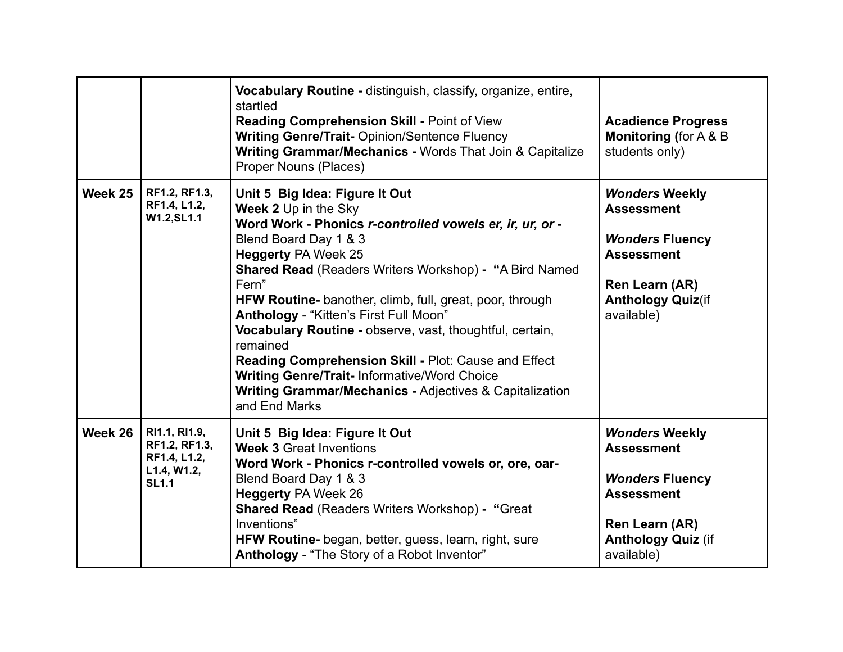|         |                                                                               | Vocabulary Routine - distinguish, classify, organize, entire,<br>startled<br><b>Reading Comprehension Skill - Point of View</b><br><b>Writing Genre/Trait- Opinion/Sentence Fluency</b><br>Writing Grammar/Mechanics - Words That Join & Capitalize<br><b>Proper Nouns (Places)</b>                                                                                                                                                                                                                                                                                                                                                    | <b>Acadience Progress</b><br><b>Monitoring (for A &amp; B)</b><br>students only)                                                                       |
|---------|-------------------------------------------------------------------------------|----------------------------------------------------------------------------------------------------------------------------------------------------------------------------------------------------------------------------------------------------------------------------------------------------------------------------------------------------------------------------------------------------------------------------------------------------------------------------------------------------------------------------------------------------------------------------------------------------------------------------------------|--------------------------------------------------------------------------------------------------------------------------------------------------------|
| Week 25 | RF1.2, RF1.3,<br>RF1.4, L1.2,<br>W1.2, SL1.1                                  | Unit 5 Big Idea: Figure It Out<br>Week 2 Up in the Sky<br>Word Work - Phonics r-controlled vowels er, ir, ur, or -<br>Blend Board Day 1 & 3<br><b>Heggerty PA Week 25</b><br><b>Shared Read (Readers Writers Workshop) - "A Bird Named</b><br>Fern"<br>HFW Routine- banother, climb, full, great, poor, through<br>Anthology - "Kitten's First Full Moon"<br>Vocabulary Routine - observe, vast, thoughtful, certain,<br>remained<br>Reading Comprehension Skill - Plot: Cause and Effect<br><b>Writing Genre/Trait-Informative/Word Choice</b><br><b>Writing Grammar/Mechanics - Adjectives &amp; Capitalization</b><br>and End Marks | <b>Wonders Weekly</b><br><b>Assessment</b><br><b>Wonders Fluency</b><br><b>Assessment</b><br>Ren Learn (AR)<br><b>Anthology Quiz(if</b><br>available)  |
| Week 26 | RI1.1, RI1.9,<br>RF1.2, RF1.3,<br>RF1.4, L1.2,<br>L1.4, W1.2,<br><b>SL1.1</b> | Unit 5 Big Idea: Figure It Out<br><b>Week 3 Great Inventions</b><br>Word Work - Phonics r-controlled vowels or, ore, oar-<br>Blend Board Day 1 & 3<br><b>Heggerty PA Week 26</b><br><b>Shared Read (Readers Writers Workshop) - "Great</b><br>Inventions"<br>HFW Routine- began, better, guess, learn, right, sure<br>Anthology - "The Story of a Robot Inventor"                                                                                                                                                                                                                                                                      | <b>Wonders Weekly</b><br><b>Assessment</b><br><b>Wonders Fluency</b><br><b>Assessment</b><br>Ren Learn (AR)<br><b>Anthology Quiz (if</b><br>available) |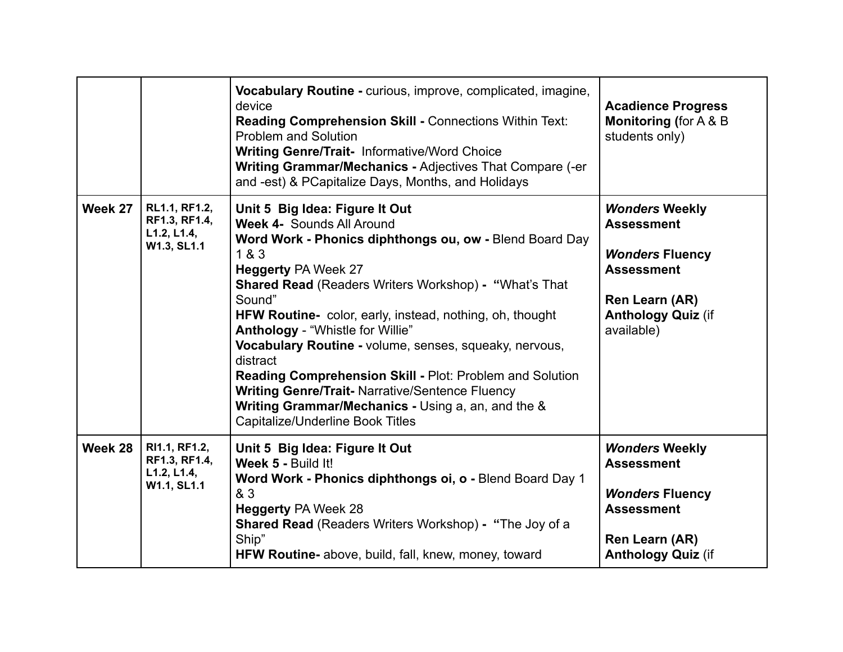|         |                                                              | Vocabulary Routine - curious, improve, complicated, imagine,<br>device<br><b>Reading Comprehension Skill - Connections Within Text:</b><br><b>Problem and Solution</b><br><b>Writing Genre/Trait- Informative/Word Choice</b><br>Writing Grammar/Mechanics - Adjectives That Compare (-er<br>and -est) & PCapitalize Days, Months, and Holidays                                                                                                                                                                                                                                                                                      | <b>Acadience Progress</b><br><b>Monitoring (for A &amp; B)</b><br>students only)                                                                       |
|---------|--------------------------------------------------------------|--------------------------------------------------------------------------------------------------------------------------------------------------------------------------------------------------------------------------------------------------------------------------------------------------------------------------------------------------------------------------------------------------------------------------------------------------------------------------------------------------------------------------------------------------------------------------------------------------------------------------------------|--------------------------------------------------------------------------------------------------------------------------------------------------------|
| Week 27 | RL1.1, RF1.2,<br>RF1.3, RF1.4,<br>L1.2, L1.4,<br>W1.3, SL1.1 | Unit 5 Big Idea: Figure It Out<br><b>Week 4- Sounds All Around</b><br>Word Work - Phonics diphthongs ou, ow - Blend Board Day<br>1 & 3<br><b>Heggerty PA Week 27</b><br><b>Shared Read (Readers Writers Workshop) - "What's That</b><br>Sound"<br>HFW Routine- color, early, instead, nothing, oh, thought<br>Anthology - "Whistle for Willie"<br>Vocabulary Routine - volume, senses, squeaky, nervous,<br>distract<br>Reading Comprehension Skill - Plot: Problem and Solution<br><b>Writing Genre/Trait- Narrative/Sentence Fluency</b><br>Writing Grammar/Mechanics - Using a, an, and the &<br>Capitalize/Underline Book Titles | <b>Wonders Weekly</b><br><b>Assessment</b><br><b>Wonders Fluency</b><br><b>Assessment</b><br>Ren Learn (AR)<br><b>Anthology Quiz (if</b><br>available) |
| Week 28 | RI1.1, RF1.2,<br>RF1.3, RF1.4,<br>L1.2, L1.4,<br>W1.1, SL1.1 | Unit 5 Big Idea: Figure It Out<br>Week 5 - Build It!<br>Word Work - Phonics diphthongs oi, o - Blend Board Day 1<br>& 3<br><b>Heggerty PA Week 28</b><br><b>Shared Read</b> (Readers Writers Workshop) - "The Joy of a<br>Ship"<br>HFW Routine- above, build, fall, knew, money, toward                                                                                                                                                                                                                                                                                                                                              | <b>Wonders Weekly</b><br><b>Assessment</b><br><b>Wonders Fluency</b><br><b>Assessment</b><br>Ren Learn (AR)<br><b>Anthology Quiz (if</b>               |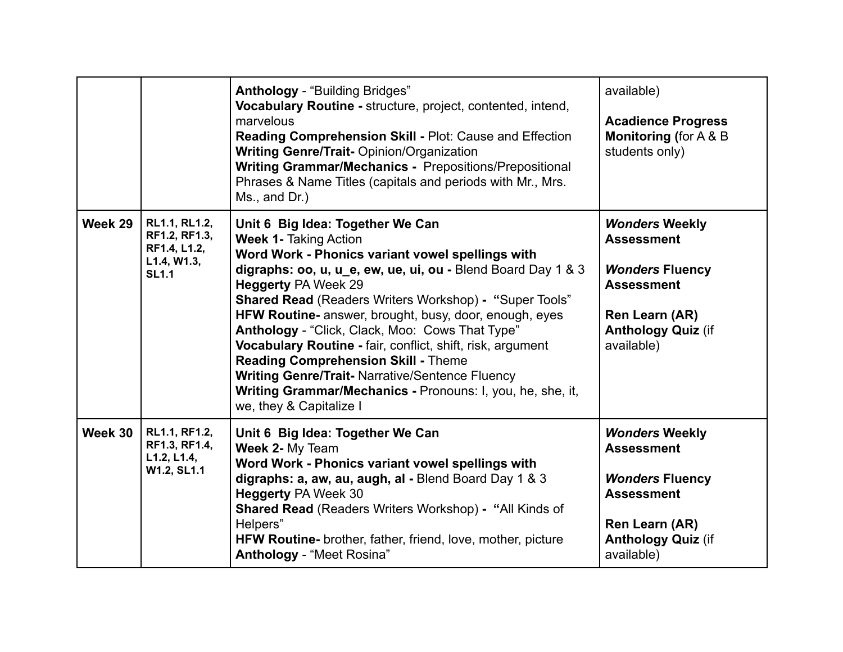|         |                                                                               | <b>Anthology - "Building Bridges"</b><br>Vocabulary Routine - structure, project, contented, intend,<br>marvelous<br>Reading Comprehension Skill - Plot: Cause and Effection<br><b>Writing Genre/Trait- Opinion/Organization</b><br><b>Writing Grammar/Mechanics - Prepositions/Prepositional</b><br>Phrases & Name Titles (capitals and periods with Mr., Mrs.<br>Ms., and Dr.)                                                                                                                                                                                                                                                                                | available)<br><b>Acadience Progress</b><br><b>Monitoring (for A &amp; B)</b><br>students only)                                                         |
|---------|-------------------------------------------------------------------------------|-----------------------------------------------------------------------------------------------------------------------------------------------------------------------------------------------------------------------------------------------------------------------------------------------------------------------------------------------------------------------------------------------------------------------------------------------------------------------------------------------------------------------------------------------------------------------------------------------------------------------------------------------------------------|--------------------------------------------------------------------------------------------------------------------------------------------------------|
| Week 29 | RL1.1, RL1.2,<br>RF1.2, RF1.3,<br>RF1.4, L1.2,<br>L1.4, W1.3,<br><b>SL1.1</b> | Unit 6 Big Idea: Together We Can<br><b>Week 1- Taking Action</b><br>Word Work - Phonics variant vowel spellings with<br>digraphs: oo, u, u e, ew, ue, ui, ou - Blend Board Day 1 & 3<br><b>Heggerty PA Week 29</b><br><b>Shared Read (Readers Writers Workshop) - "Super Tools"</b><br>HFW Routine- answer, brought, busy, door, enough, eyes<br>Anthology - "Click, Clack, Moo: Cows That Type"<br>Vocabulary Routine - fair, conflict, shift, risk, argument<br><b>Reading Comprehension Skill - Theme</b><br><b>Writing Genre/Trait- Narrative/Sentence Fluency</b><br>Writing Grammar/Mechanics - Pronouns: I, you, he, she, it,<br>we, they & Capitalize I | <b>Wonders Weekly</b><br><b>Assessment</b><br><b>Wonders Fluency</b><br><b>Assessment</b><br>Ren Learn (AR)<br><b>Anthology Quiz (if</b><br>available) |
| Week 30 | RL1.1, RF1.2,<br>RF1.3, RF1.4,<br>L1.2, L1.4,<br>W1.2, SL1.1                  | Unit 6 Big Idea: Together We Can<br>Week 2- My Team<br>Word Work - Phonics variant vowel spellings with<br>digraphs: a, aw, au, augh, al - Blend Board Day 1 & 3<br><b>Heggerty PA Week 30</b><br><b>Shared Read (Readers Writers Workshop) - "All Kinds of</b><br>Helpers"<br>HFW Routine- brother, father, friend, love, mother, picture<br>Anthology - "Meet Rosina"                                                                                                                                                                                                                                                                                         | <b>Wonders Weekly</b><br><b>Assessment</b><br><b>Wonders Fluency</b><br><b>Assessment</b><br>Ren Learn (AR)<br><b>Anthology Quiz (if</b><br>available) |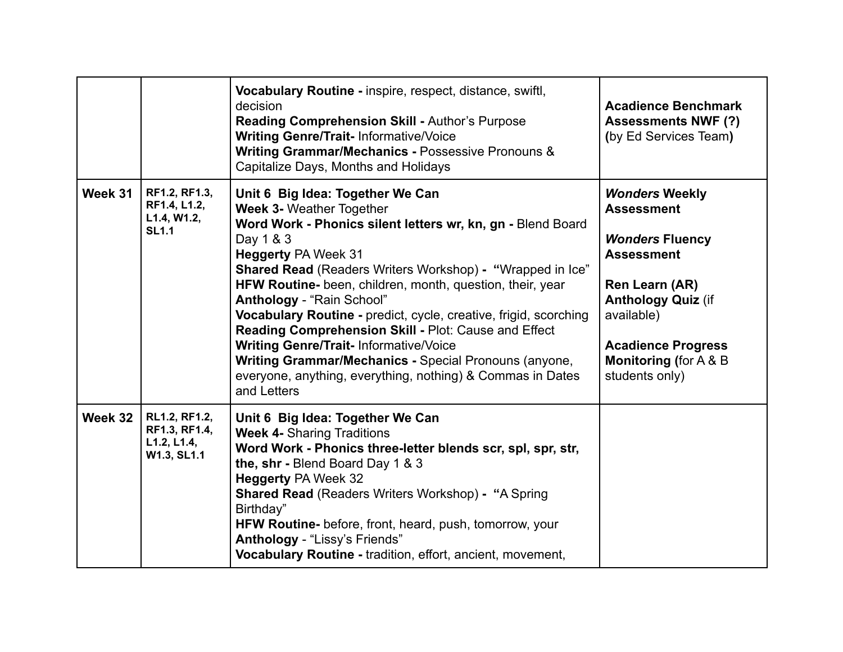|         |                                                              | Vocabulary Routine - inspire, respect, distance, swiftl,<br>decision<br>Reading Comprehension Skill - Author's Purpose<br><b>Writing Genre/Trait-Informative/Voice</b><br>Writing Grammar/Mechanics - Possessive Pronouns &<br>Capitalize Days, Months and Holidays                                                                                                                                                                                                                                                                                                                                                                                           | <b>Acadience Benchmark</b><br><b>Assessments NWF (?)</b><br>(by Ed Services Team)                                                                                                                                                          |
|---------|--------------------------------------------------------------|---------------------------------------------------------------------------------------------------------------------------------------------------------------------------------------------------------------------------------------------------------------------------------------------------------------------------------------------------------------------------------------------------------------------------------------------------------------------------------------------------------------------------------------------------------------------------------------------------------------------------------------------------------------|--------------------------------------------------------------------------------------------------------------------------------------------------------------------------------------------------------------------------------------------|
| Week 31 | RF1.2, RF1.3,<br>RF1.4, L1.2,<br>L1.4, W1.2,<br><b>SL1.1</b> | Unit 6 Big Idea: Together We Can<br><b>Week 3- Weather Together</b><br>Word Work - Phonics silent letters wr, kn, gn - Blend Board<br>Day 1 & 3<br><b>Heggerty PA Week 31</b><br><b>Shared Read</b> (Readers Writers Workshop) - "Wrapped in Ice"<br>HFW Routine- been, children, month, question, their, year<br>Anthology - "Rain School"<br>Vocabulary Routine - predict, cycle, creative, frigid, scorching<br>Reading Comprehension Skill - Plot: Cause and Effect<br><b>Writing Genre/Trait-Informative/Voice</b><br>Writing Grammar/Mechanics - Special Pronouns (anyone,<br>everyone, anything, everything, nothing) & Commas in Dates<br>and Letters | <b>Wonders Weekly</b><br><b>Assessment</b><br><b>Wonders Fluency</b><br><b>Assessment</b><br>Ren Learn (AR)<br><b>Anthology Quiz (if</b><br>available)<br><b>Acadience Progress</b><br><b>Monitoring (for A &amp; B)</b><br>students only) |
| Week 32 | RL1.2, RF1.2,<br>RF1.3, RF1.4,<br>L1.2, L1.4,<br>W1.3, SL1.1 | Unit 6 Big Idea: Together We Can<br><b>Week 4- Sharing Traditions</b><br>Word Work - Phonics three-letter blends scr, spl, spr, str,<br>the, shr - Blend Board Day 1 & 3<br><b>Heggerty PA Week 32</b><br><b>Shared Read (Readers Writers Workshop) - "A Spring</b><br>Birthday"<br><b>HFW Routine-</b> before, front, heard, push, tomorrow, your<br>Anthology - "Lissy's Friends"<br>Vocabulary Routine - tradition, effort, ancient, movement,                                                                                                                                                                                                             |                                                                                                                                                                                                                                            |